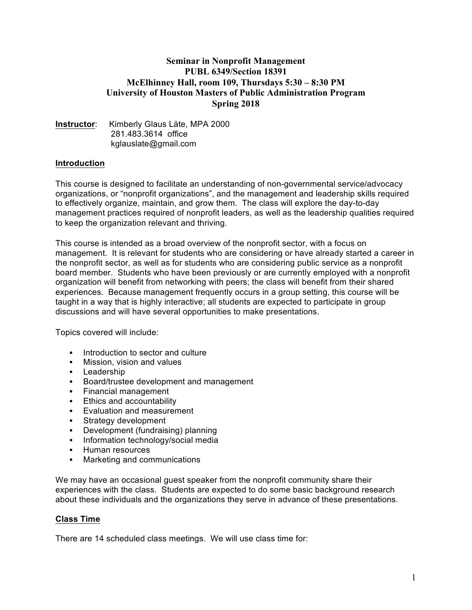# **Seminar in Nonprofit Management PUBL 6349/Section 18391 McElhinney Hall, room 109, Thursdays 5:30 – 8:30 PM University of Houston Masters of Public Administration Program Spring 2018**

#### **Instructor**: Kimberly Glaus Läte, MPA 2000 281.483.3614 office kglauslate@gmail.com

# **Introduction**

This course is designed to facilitate an understanding of non-governmental service/advocacy organizations, or "nonprofit organizations", and the management and leadership skills required to effectively organize, maintain, and grow them. The class will explore the day-to-day management practices required of nonprofit leaders, as well as the leadership qualities required to keep the organization relevant and thriving.

This course is intended as a broad overview of the nonprofit sector, with a focus on management. It is relevant for students who are considering or have already started a career in the nonprofit sector, as well as for students who are considering public service as a nonprofit board member. Students who have been previously or are currently employed with a nonprofit organization will benefit from networking with peers; the class will benefit from their shared experiences. Because management frequently occurs in a group setting, this course will be taught in a way that is highly interactive; all students are expected to participate in group discussions and will have several opportunities to make presentations.

Topics covered will include:

- Introduction to sector and culture
- § Mission, vision and values
- Leadership
- § Board/trustee development and management
- § Financial management
- Ethics and accountability
- § Evaluation and measurement
- § Strategy development
- Development (fundraising) planning
- Information technology/social media
- § Human resources
- Marketing and communications

We may have an occasional guest speaker from the nonprofit community share their experiences with the class. Students are expected to do some basic background research about these individuals and the organizations they serve in advance of these presentations.

#### **Class Time**

There are 14 scheduled class meetings. We will use class time for: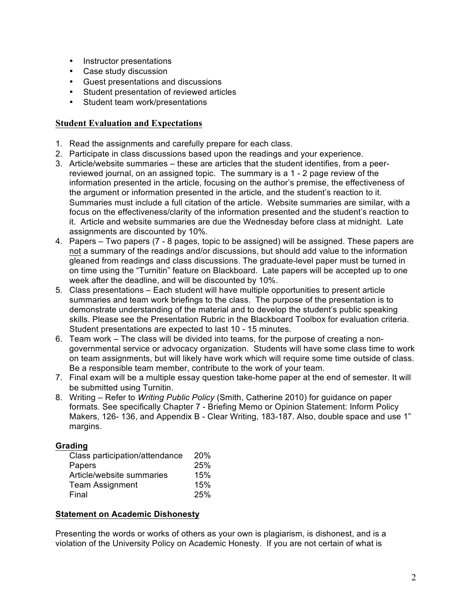- Instructor presentations
- Case study discussion
- Guest presentations and discussions
- Student presentation of reviewed articles
- Student team work/presentations

### **Student Evaluation and Expectations**

- 1. Read the assignments and carefully prepare for each class.
- 2. Participate in class discussions based upon the readings and your experience.
- 3. Article/website summaries these are articles that the student identifies, from a peerreviewed journal, on an assigned topic. The summary is a 1 - 2 page review of the information presented in the article, focusing on the author's premise, the effectiveness of the argument or information presented in the article, and the student's reaction to it. Summaries must include a full citation of the article. Website summaries are similar, with a focus on the effectiveness/clarity of the information presented and the student's reaction to it. Article and website summaries are due the Wednesday before class at midnight. Late assignments are discounted by 10%.
- 4. Papers Two papers (7 8 pages, topic to be assigned) will be assigned. These papers are not a summary of the readings and/or discussions, but should add value to the information gleaned from readings and class discussions. The graduate-level paper must be turned in on time using the "Turnitin" feature on Blackboard. Late papers will be accepted up to one week after the deadline, and will be discounted by 10%.
- 5. Class presentations Each student will have multiple opportunities to present article summaries and team work briefings to the class. The purpose of the presentation is to demonstrate understanding of the material and to develop the student's public speaking skills. Please see the Presentation Rubric in the Blackboard Toolbox for evaluation criteria. Student presentations are expected to last 10 - 15 minutes.
- 6. Team work The class will be divided into teams, for the purpose of creating a nongovernmental service or advocacy organization. Students will have some class time to work on team assignments, but will likely have work which will require some time outside of class. Be a responsible team member, contribute to the work of your team.
- 7. Final exam will be a multiple essay question take-home paper at the end of semester. It will be submitted using Turnitin.
- 8. Writing Refer to *Writing Public Policy* (Smith, Catherine 2010) for guidance on paper formats. See specifically Chapter 7 - Briefing Memo or Opinion Statement: Inform Policy Makers, 126- 136, and Appendix B - Clear Writing, 183-187. Also, double space and use 1" margins.

#### **Grading**

| Class participation/attendance | <b>20%</b> |
|--------------------------------|------------|
| Papers                         | 25%        |
| Article/website summaries      | 15%        |
| <b>Team Assignment</b>         | 15%        |
| Final                          | 25%        |

#### **Statement on Academic Dishonesty**

Presenting the words or works of others as your own is plagiarism, is dishonest, and is a violation of the University Policy on Academic Honesty. If you are not certain of what is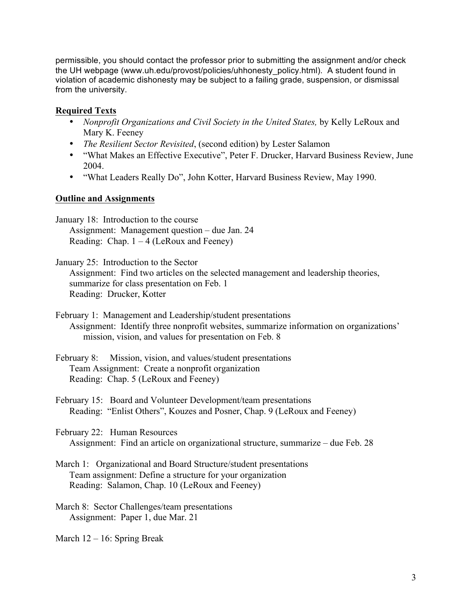permissible, you should contact the professor prior to submitting the assignment and/or check the UH webpage (www.uh.edu/provost/policies/uhhonesty\_policy.html). A student found in violation of academic dishonesty may be subject to a failing grade, suspension, or dismissal from the university.

# **Required Texts**

- *Nonprofit Organizations and Civil Society in the United States, by Kelly LeRoux and* Mary K. Feeney
- *The Resilient Sector Revisited*, (second edition) by Lester Salamon
- "What Makes an Effective Executive", Peter F. Drucker, Harvard Business Review, June 2004.
- "What Leaders Really Do", John Kotter, Harvard Business Review, May 1990.

# **Outline and Assignments**

January 18: Introduction to the course Assignment: Management question – due Jan. 24 Reading: Chap.  $1 - 4$  (LeRoux and Feeney)

January 25: Introduction to the Sector Assignment: Find two articles on the selected management and leadership theories, summarize for class presentation on Feb. 1 Reading: Drucker, Kotter

- February 1: Management and Leadership/student presentations Assignment: Identify three nonprofit websites, summarize information on organizations' mission, vision, and values for presentation on Feb. 8
- February 8: Mission, vision, and values/student presentations Team Assignment: Create a nonprofit organization Reading: Chap. 5 (LeRoux and Feeney)

February 15: Board and Volunteer Development/team presentations Reading: "Enlist Others", Kouzes and Posner, Chap. 9 (LeRoux and Feeney)

February 22: Human Resources Assignment: Find an article on organizational structure, summarize – due Feb. 28

March 1: Organizational and Board Structure/student presentations Team assignment: Define a structure for your organization Reading: Salamon, Chap. 10 (LeRoux and Feeney)

March 8: Sector Challenges/team presentations Assignment: Paper 1, due Mar. 21

March 12 – 16: Spring Break